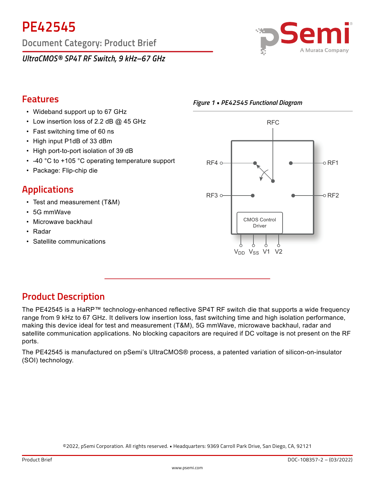**PE42545**

**Document Category: Product Brief**

*UltraCMOS® SP4T RF Switch, 9 kHz–67 GHz*



# **Features**

- Wideband support up to 67 GHz
- Low insertion loss of 2.2 dB @ 45 GHz
- Fast switching time of 60 ns
- High input P1dB of 33 dBm
- High port-to-port isolation of 39 dB
- -40 °C to +105 °C operating temperature support
- Package: Flip-chip die

# **Applications**

- Test and measurement (T&M)
- 5G mmWave
- Microwave backhaul
- Radar
- Satellite communications





# **Product Description**

The PE42545 is a HaRP™ technology-enhanced reflective SP4T RF switch die that supports a wide frequency range from 9 kHz to 67 GHz. It delivers low insertion loss, fast switching time and high isolation performance, making this device ideal for test and measurement (T&M), 5G mmWave, microwave backhaul, radar and satellite communication applications. No blocking capacitors are required if DC voltage is not present on the RF ports.

The PE42545 is manufactured on pSemi's UltraCMOS® process, a patented variation of silicon-on-insulator (SOI) technology.